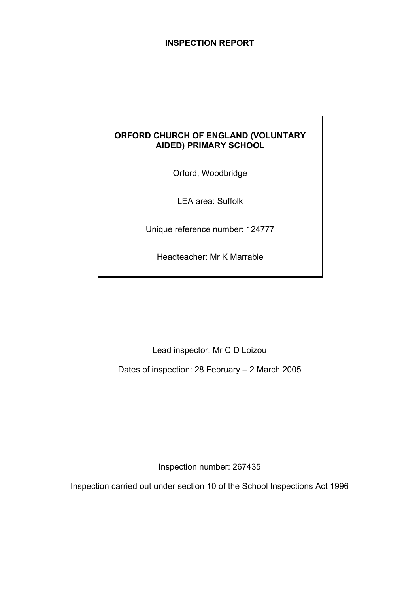### **INSPECTION REPORT**

## **ORFORD CHURCH OF ENGLAND (VOLUNTARY AIDED) PRIMARY SCHOOL**

Orford, Woodbridge

LEA area: Suffolk

Unique reference number: 124777

Headteacher: Mr K Marrable

Lead inspector: Mr C D Loizou

Dates of inspection: 28 February – 2 March 2005

Inspection number: 267435

Inspection carried out under section 10 of the School Inspections Act 1996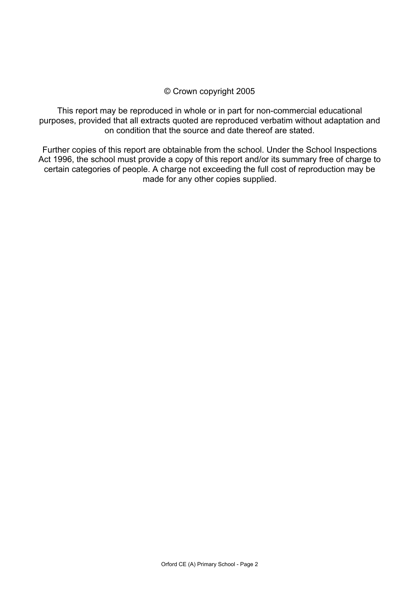### © Crown copyright 2005

This report may be reproduced in whole or in part for non-commercial educational purposes, provided that all extracts quoted are reproduced verbatim without adaptation and on condition that the source and date thereof are stated.

Further copies of this report are obtainable from the school. Under the School Inspections Act 1996, the school must provide a copy of this report and/or its summary free of charge to certain categories of people. A charge not exceeding the full cost of reproduction may be made for any other copies supplied.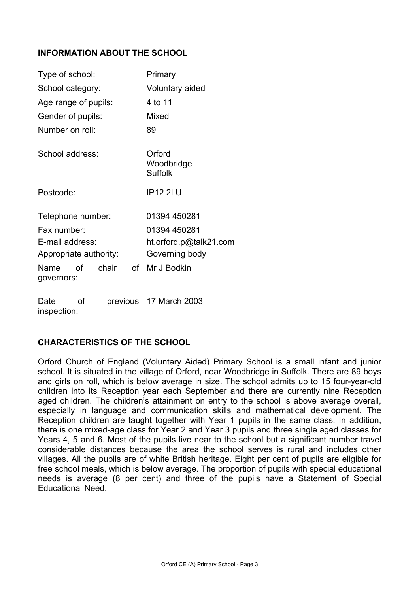### **INFORMATION ABOUT THE SCHOOL**

| Type of school:        |    | Primary                                |    |                        |
|------------------------|----|----------------------------------------|----|------------------------|
| School category:       |    | Voluntary aided                        |    |                        |
| Age range of pupils:   |    |                                        |    | 4 to 11                |
| Gender of pupils:      |    |                                        |    | Mixed                  |
| Number on roll:        |    |                                        |    | 89                     |
| School address:        |    | Orford<br>Woodbridge<br><b>Suffolk</b> |    |                        |
| Postcode:              |    | <b>IP12 2LU</b>                        |    |                        |
| Telephone number:      |    |                                        |    | 01394 450281           |
| Fax number:            |    |                                        |    | 01394 450281           |
| E-mail address:        |    |                                        |    | ht.orford.p@talk21.com |
| Appropriate authority: |    |                                        |    | Governing body         |
| Name<br>governors:     | Ωf | chair                                  | of | Mr J Bodkin            |
| Date                   | οf |                                        |    | previous 17 March 2003 |

## **CHARACTERISTICS OF THE SCHOOL**

inspection:

Orford Church of England (Voluntary Aided) Primary School is a small infant and junior school. It is situated in the village of Orford, near Woodbridge in Suffolk. There are 89 boys and girls on roll, which is below average in size. The school admits up to 15 four-year-old children into its Reception year each September and there are currently nine Reception aged children. The children's attainment on entry to the school is above average overall, especially in language and communication skills and mathematical development. The Reception children are taught together with Year 1 pupils in the same class. In addition, there is one mixed-age class for Year 2 and Year 3 pupils and three single aged classes for Years 4, 5 and 6. Most of the pupils live near to the school but a significant number travel considerable distances because the area the school serves is rural and includes other villages. All the pupils are of white British heritage. Eight per cent of pupils are eligible for free school meals, which is below average. The proportion of pupils with special educational needs is average (8 per cent) and three of the pupils have a Statement of Special Educational Need.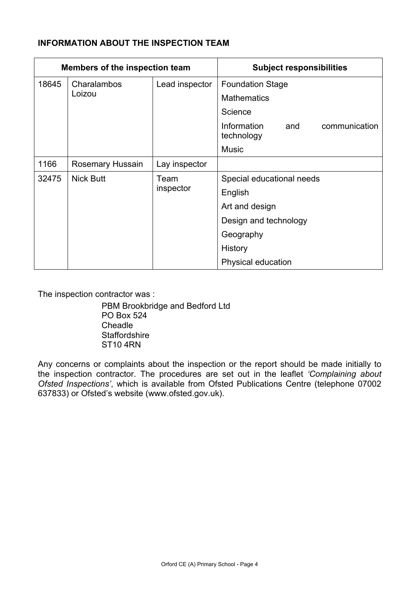## **INFORMATION ABOUT THE INSPECTION TEAM**

| <b>Members of the inspection team</b> |                  |                | <b>Subject responsibilities</b>                   |
|---------------------------------------|------------------|----------------|---------------------------------------------------|
| 18645                                 | Charalambos      | Lead inspector | <b>Foundation Stage</b>                           |
|                                       | Loizou           |                | <b>Mathematics</b>                                |
|                                       |                  |                | Science                                           |
|                                       |                  |                | Information<br>communication<br>and<br>technology |
|                                       |                  |                | <b>Music</b>                                      |
| 1166                                  | Rosemary Hussain | Lay inspector  |                                                   |
| 32475                                 | <b>Nick Butt</b> | Team           | Special educational needs                         |
|                                       |                  | inspector      | English                                           |
|                                       |                  |                | Art and design                                    |
|                                       |                  |                | Design and technology                             |
|                                       |                  |                | Geography                                         |
|                                       |                  |                | History                                           |
|                                       |                  |                | Physical education                                |

The inspection contractor was :

 PBM Brookbridge and Bedford Ltd PO Box 524 Cheadle **Staffordshire** ST10 4RN

Any concerns or complaints about the inspection or the report should be made initially to the inspection contractor. The procedures are set out in the leaflet *'Complaining about Ofsted Inspections'*, which is available from Ofsted Publications Centre (telephone 07002 637833) or Ofsted's website (www.ofsted.gov.uk).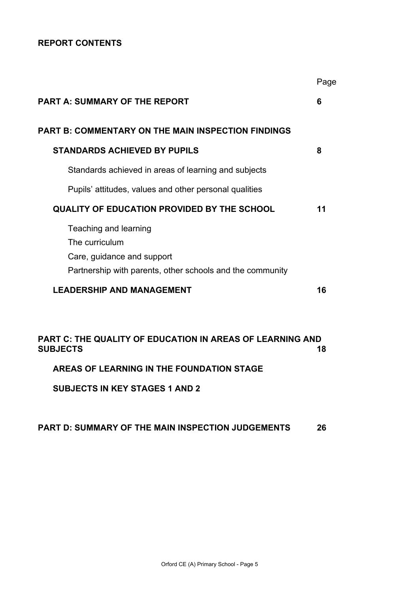## **REPORT CONTENTS**

|                                                                                                                                    | Page |
|------------------------------------------------------------------------------------------------------------------------------------|------|
| <b>PART A: SUMMARY OF THE REPORT</b>                                                                                               | 6    |
| PART B: COMMENTARY ON THE MAIN INSPECTION FINDINGS                                                                                 |      |
| <b>STANDARDS ACHIEVED BY PUPILS</b>                                                                                                | 8    |
| Standards achieved in areas of learning and subjects                                                                               |      |
| Pupils' attitudes, values and other personal qualities                                                                             |      |
| <b>QUALITY OF EDUCATION PROVIDED BY THE SCHOOL</b>                                                                                 | 11   |
| Teaching and learning<br>The curriculum<br>Care, guidance and support<br>Partnership with parents, other schools and the community |      |
| <b>LEADERSHIP AND MANAGEMENT</b>                                                                                                   | 16   |
|                                                                                                                                    |      |
| PART C: THE QUALITY OF EDUCATION IN AREAS OF LEARNING AND<br><b>SUBJECTS</b>                                                       | 18   |
| AREAS OF LEARNING IN THE FOUNDATION STAGE                                                                                          |      |

**SUBJECTS IN KEY STAGES 1 AND 2**

### **PART D: SUMMARY OF THE MAIN INSPECTION JUDGEMENTS 26**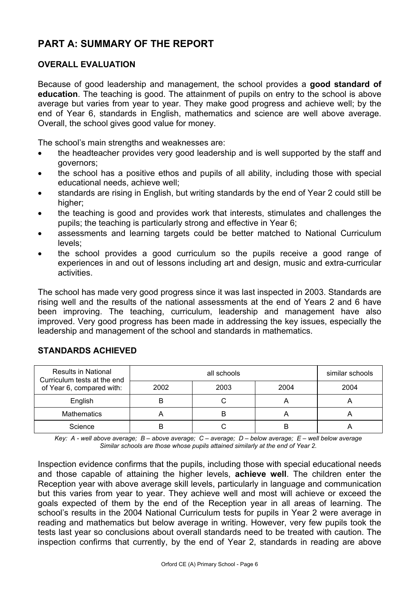# **PART A: SUMMARY OF THE REPORT**

### **OVERALL EVALUATION**

Because of good leadership and management, the school provides a **good standard of education**. The teaching is good. The attainment of pupils on entry to the school is above average but varies from year to year. They make good progress and achieve well; by the end of Year 6, standards in English, mathematics and science are well above average. Overall, the school gives good value for money.

The school's main strengths and weaknesses are:

- the headteacher provides very good leadership and is well supported by the staff and governors;
- the school has a positive ethos and pupils of all ability, including those with special educational needs, achieve well;
- standards are rising in English, but writing standards by the end of Year 2 could still be higher;
- the teaching is good and provides work that interests, stimulates and challenges the pupils; the teaching is particularly strong and effective in Year 6;
- assessments and learning targets could be better matched to National Curriculum levels;
- the school provides a good curriculum so the pupils receive a good range of experiences in and out of lessons including art and design, music and extra-curricular activities.

The school has made very good progress since it was last inspected in 2003. Standards are rising well and the results of the national assessments at the end of Years 2 and 6 have been improving. The teaching, curriculum, leadership and management have also improved. Very good progress has been made in addressing the key issues, especially the leadership and management of the school and standards in mathematics.

| <b>Results in National</b><br>Curriculum tests at the end |      | similar schools |      |      |
|-----------------------------------------------------------|------|-----------------|------|------|
| of Year 6, compared with:                                 | 2002 | 2003            | 2004 | 2004 |
| English                                                   |      |                 |      |      |
| <b>Mathematics</b>                                        |      |                 |      |      |
| Science                                                   |      |                 | B    | n    |

## **STANDARDS ACHIEVED**

*Key: A - well above average; B – above average; C – average; D – below average; E – well below average Similar schools are those whose pupils attained similarly at the end of Year 2.* 

Inspection evidence confirms that the pupils, including those with special educational needs and those capable of attaining the higher levels, **achieve well**. The children enter the Reception year with above average skill levels, particularly in language and communication but this varies from year to year. They achieve well and most will achieve or exceed the goals expected of them by the end of the Reception year in all areas of learning. The school's results in the 2004 National Curriculum tests for pupils in Year 2 were average in reading and mathematics but below average in writing. However, very few pupils took the tests last year so conclusions about overall standards need to be treated with caution. The inspection confirms that currently, by the end of Year 2, standards in reading are above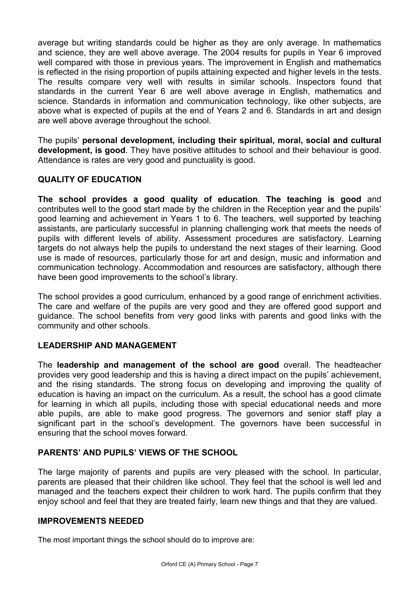average but writing standards could be higher as they are only average. In mathematics and science, they are well above average. The 2004 results for pupils in Year 6 improved well compared with those in previous years. The improvement in English and mathematics is reflected in the rising proportion of pupils attaining expected and higher levels in the tests. The results compare very well with results in similar schools. Inspectors found that standards in the current Year 6 are well above average in English, mathematics and science. Standards in information and communication technology, like other subjects, are above what is expected of pupils at the end of Years 2 and 6. Standards in art and design are well above average throughout the school.

The pupils' **personal development, including their spiritual, moral, social and cultural development, is good**. They have positive attitudes to school and their behaviour is good. Attendance is rates are very good and punctuality is good.

## **QUALITY OF EDUCATION**

**The school provides a good quality of education**. **The teaching is good** and contributes well to the good start made by the children in the Reception year and the pupils' good learning and achievement in Years 1 to 6. The teachers, well supported by teaching assistants, are particularly successful in planning challenging work that meets the needs of pupils with different levels of ability. Assessment procedures are satisfactory. Learning targets do not always help the pupils to understand the next stages of their learning. Good use is made of resources, particularly those for art and design, music and information and communication technology. Accommodation and resources are satisfactory, although there have been good improvements to the school's library.

The school provides a good curriculum, enhanced by a good range of enrichment activities. The care and welfare of the pupils are very good and they are offered good support and guidance. The school benefits from very good links with parents and good links with the community and other schools.

## **LEADERSHIP AND MANAGEMENT**

The **leadership and management of the school are good** overall. The headteacher provides very good leadership and this is having a direct impact on the pupils' achievement, and the rising standards. The strong focus on developing and improving the quality of education is having an impact on the curriculum. As a result, the school has a good climate for learning in which all pupils, including those with special educational needs and more able pupils, are able to make good progress. The governors and senior staff play a significant part in the school's development. The governors have been successful in ensuring that the school moves forward.

## **PARENTS' AND PUPILS' VIEWS OF THE SCHOOL**

The large majority of parents and pupils are very pleased with the school. In particular, parents are pleased that their children like school. They feel that the school is well led and managed and the teachers expect their children to work hard. The pupils confirm that they enjoy school and feel that they are treated fairly, learn new things and that they are valued.

### **IMPROVEMENTS NEEDED**

The most important things the school should do to improve are: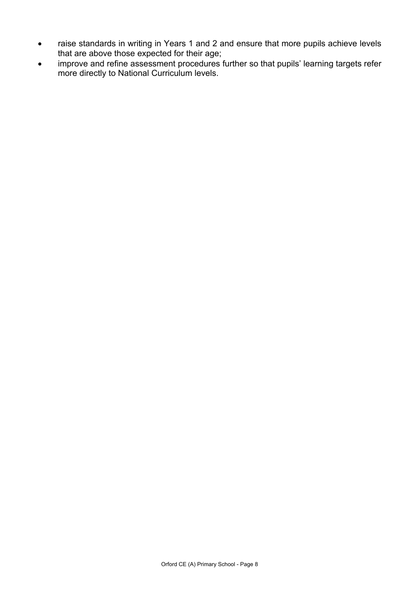- raise standards in writing in Years 1 and 2 and ensure that more pupils achieve levels that are above those expected for their age;
- improve and refine assessment procedures further so that pupils' learning targets refer more directly to National Curriculum levels.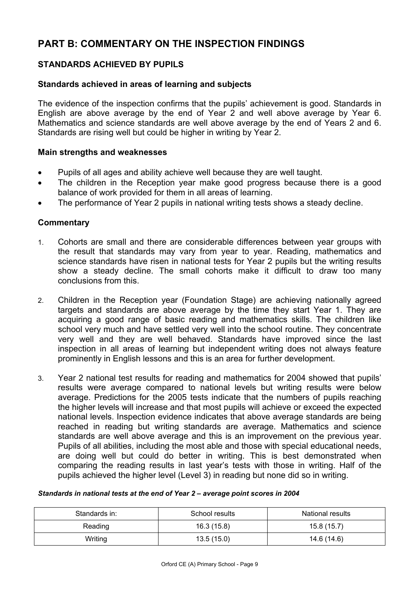# **PART B: COMMENTARY ON THE INSPECTION FINDINGS**

## **STANDARDS ACHIEVED BY PUPILS**

### **Standards achieved in areas of learning and subjects**

The evidence of the inspection confirms that the pupils' achievement is good. Standards in English are above average by the end of Year 2 and well above average by Year 6. Mathematics and science standards are well above average by the end of Years 2 and 6. Standards are rising well but could be higher in writing by Year 2.

#### **Main strengths and weaknesses**

- Pupils of all ages and ability achieve well because they are well taught.
- The children in the Reception year make good progress because there is a good balance of work provided for them in all areas of learning.
- The performance of Year 2 pupils in national writing tests shows a steady decline.

#### **Commentary**

- 1. Cohorts are small and there are considerable differences between year groups with the result that standards may vary from year to year. Reading, mathematics and science standards have risen in national tests for Year 2 pupils but the writing results show a steady decline. The small cohorts make it difficult to draw too many conclusions from this.
- 2. Children in the Reception year (Foundation Stage) are achieving nationally agreed targets and standards are above average by the time they start Year 1. They are acquiring a good range of basic reading and mathematics skills. The children like school very much and have settled very well into the school routine. They concentrate very well and they are well behaved. Standards have improved since the last inspection in all areas of learning but independent writing does not always feature prominently in English lessons and this is an area for further development.
- 3. Year 2 national test results for reading and mathematics for 2004 showed that pupils' results were average compared to national levels but writing results were below average. Predictions for the 2005 tests indicate that the numbers of pupils reaching the higher levels will increase and that most pupils will achieve or exceed the expected national levels. Inspection evidence indicates that above average standards are being reached in reading but writing standards are average. Mathematics and science standards are well above average and this is an improvement on the previous year. Pupils of all abilities, including the most able and those with special educational needs, are doing well but could do better in writing. This is best demonstrated when comparing the reading results in last year's tests with those in writing. Half of the pupils achieved the higher level (Level 3) in reading but none did so in writing.

#### *Standards in national tests at the end of Year 2 – average point scores in 2004*

| Standards in: | School results | <b>National results</b> |
|---------------|----------------|-------------------------|
| Reading       | 16.3(15.8)     | 15.8(15.7)              |
| Writing       | 13.5(15.0)     | 14.6 (14.6)             |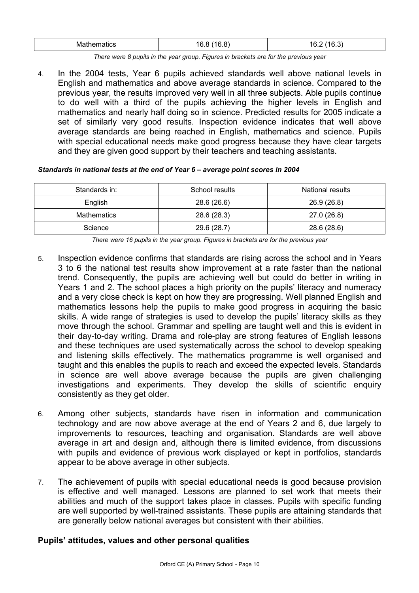|  | WB.<br>nemalics | $\sim$<br>$\sim$<br>16<br>ำ6<br>◡ | $\sim$<br>4 G<br>16<br>، ن. |
|--|-----------------|-----------------------------------|-----------------------------|
|--|-----------------|-----------------------------------|-----------------------------|

*There were 8 pupils in the year group. Figures in brackets are for the previous year* 

4. In the 2004 tests, Year 6 pupils achieved standards well above national levels in English and mathematics and above average standards in science. Compared to the previous year, the results improved very well in all three subjects. Able pupils continue to do well with a third of the pupils achieving the higher levels in English and mathematics and nearly half doing so in science. Predicted results for 2005 indicate a set of similarly very good results. Inspection evidence indicates that well above average standards are being reached in English, mathematics and science. Pupils with special educational needs make good progress because they have clear targets and they are given good support by their teachers and teaching assistants.

#### *Standards in national tests at the end of Year 6 – average point scores in 2004*

| Standards in: | School results | National results |
|---------------|----------------|------------------|
| English       | 28.6 (26.6)    | 26.9 (26.8)      |
| Mathematics   | 28.6 (28.3)    | 27.0 (26.8)      |
| Science       | 29.6 (28.7)    | 28.6 (28.6)      |

*There were 16 pupils in the year group. Figures in brackets are for the previous year* 

- 5. Inspection evidence confirms that standards are rising across the school and in Years 3 to 6 the national test results show improvement at a rate faster than the national trend. Consequently, the pupils are achieving well but could do better in writing in Years 1 and 2. The school places a high priority on the pupils' literacy and numeracy and a very close check is kept on how they are progressing. Well planned English and mathematics lessons help the pupils to make good progress in acquiring the basic skills. A wide range of strategies is used to develop the pupils' literacy skills as they move through the school. Grammar and spelling are taught well and this is evident in their day-to-day writing. Drama and role-play are strong features of English lessons and these techniques are used systematically across the school to develop speaking and listening skills effectively. The mathematics programme is well organised and taught and this enables the pupils to reach and exceed the expected levels. Standards in science are well above average because the pupils are given challenging investigations and experiments. They develop the skills of scientific enquiry consistently as they get older.
- 6. Among other subjects, standards have risen in information and communication technology and are now above average at the end of Years 2 and 6, due largely to improvements to resources, teaching and organisation. Standards are well above average in art and design and, although there is limited evidence, from discussions with pupils and evidence of previous work displayed or kept in portfolios, standards appear to be above average in other subjects.
- 7. The achievement of pupils with special educational needs is good because provision is effective and well managed. Lessons are planned to set work that meets their abilities and much of the support takes place in classes. Pupils with specific funding are well supported by well-trained assistants. These pupils are attaining standards that are generally below national averages but consistent with their abilities.

### **Pupils' attitudes, values and other personal qualities**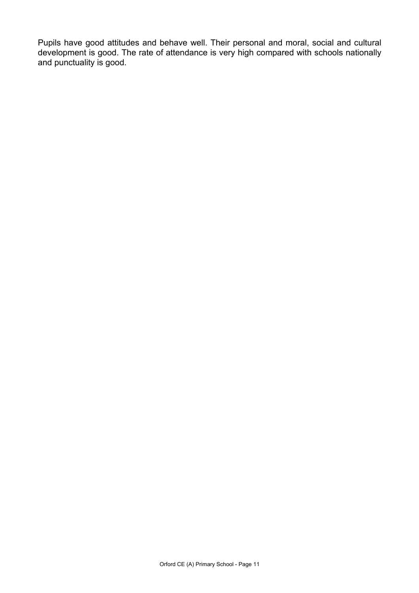Pupils have good attitudes and behave well. Their personal and moral, social and cultural development is good. The rate of attendance is very high compared with schools nationally and punctuality is good.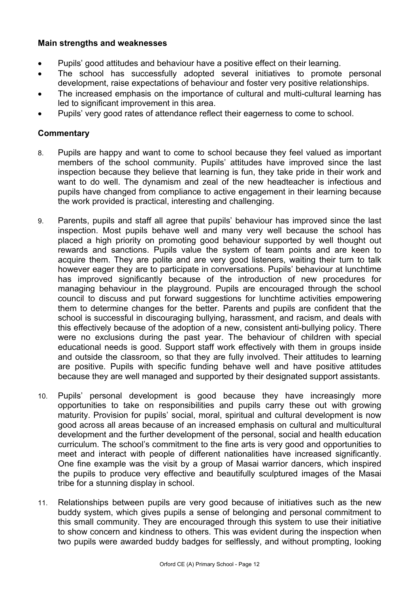### **Main strengths and weaknesses**

- Pupils' good attitudes and behaviour have a positive effect on their learning.
- The school has successfully adopted several initiatives to promote personal development, raise expectations of behaviour and foster very positive relationships.
- The increased emphasis on the importance of cultural and multi-cultural learning has led to significant improvement in this area.
- Pupils' very good rates of attendance reflect their eagerness to come to school.

- 8. Pupils are happy and want to come to school because they feel valued as important members of the school community. Pupils' attitudes have improved since the last inspection because they believe that learning is fun, they take pride in their work and want to do well. The dynamism and zeal of the new headteacher is infectious and pupils have changed from compliance to active engagement in their learning because the work provided is practical, interesting and challenging.
- 9. Parents, pupils and staff all agree that pupils' behaviour has improved since the last inspection. Most pupils behave well and many very well because the school has placed a high priority on promoting good behaviour supported by well thought out rewards and sanctions. Pupils value the system of team points and are keen to acquire them. They are polite and are very good listeners, waiting their turn to talk however eager they are to participate in conversations. Pupils' behaviour at lunchtime has improved significantly because of the introduction of new procedures for managing behaviour in the playground. Pupils are encouraged through the school council to discuss and put forward suggestions for lunchtime activities empowering them to determine changes for the better. Parents and pupils are confident that the school is successful in discouraging bullying, harassment, and racism, and deals with this effectively because of the adoption of a new, consistent anti-bullying policy. There were no exclusions during the past year. The behaviour of children with special educational needs is good. Support staff work effectively with them in groups inside and outside the classroom, so that they are fully involved. Their attitudes to learning are positive. Pupils with specific funding behave well and have positive attitudes because they are well managed and supported by their designated support assistants.
- 10. Pupils' personal development is good because they have increasingly more opportunities to take on responsibilities and pupils carry these out with growing maturity. Provision for pupils' social, moral, spiritual and cultural development is now good across all areas because of an increased emphasis on cultural and multicultural development and the further development of the personal, social and health education curriculum. The school's commitment to the fine arts is very good and opportunities to meet and interact with people of different nationalities have increased significantly. One fine example was the visit by a group of Masai warrior dancers, which inspired the pupils to produce very effective and beautifully sculptured images of the Masai tribe for a stunning display in school.
- 11. Relationships between pupils are very good because of initiatives such as the new buddy system, which gives pupils a sense of belonging and personal commitment to this small community. They are encouraged through this system to use their initiative to show concern and kindness to others. This was evident during the inspection when two pupils were awarded buddy badges for selflessly, and without prompting, looking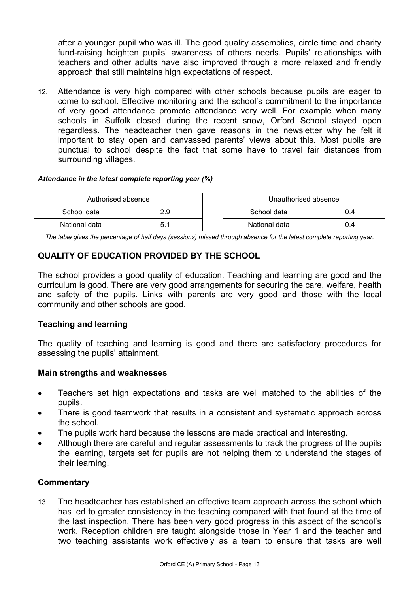after a younger pupil who was ill. The good quality assemblies, circle time and charity fund-raising heighten pupils' awareness of others needs. Pupils' relationships with teachers and other adults have also improved through a more relaxed and friendly approach that still maintains high expectations of respect.

12. Attendance is very high compared with other schools because pupils are eager to come to school. Effective monitoring and the school's commitment to the importance of very good attendance promote attendance very well. For example when many schools in Suffolk closed during the recent snow, Orford School stayed open regardless. The headteacher then gave reasons in the newsletter why he felt it important to stay open and canvassed parents' views about this. Most pupils are punctual to school despite the fact that some have to travel fair distances from surrounding villages.

#### *Attendance in the latest complete reporting year (%)*

| Authorised absence |  |  | Unauthorised absence |     |
|--------------------|--|--|----------------------|-----|
| School data<br>2.9 |  |  | School data          | 0.4 |
| National data      |  |  | National data        | J.4 |

*The table gives the percentage of half days (sessions) missed through absence for the latest complete reporting year.*

## **QUALITY OF EDUCATION PROVIDED BY THE SCHOOL**

The school provides a good quality of education. Teaching and learning are good and the curriculum is good. There are very good arrangements for securing the care, welfare, health and safety of the pupils. Links with parents are very good and those with the local community and other schools are good.

### **Teaching and learning**

The quality of teaching and learning is good and there are satisfactory procedures for assessing the pupils' attainment.

### **Main strengths and weaknesses**

- Teachers set high expectations and tasks are well matched to the abilities of the pupils.
- There is good teamwork that results in a consistent and systematic approach across the school.
- The pupils work hard because the lessons are made practical and interesting.
- Although there are careful and regular assessments to track the progress of the pupils the learning, targets set for pupils are not helping them to understand the stages of their learning.

### **Commentary**

13. The headteacher has established an effective team approach across the school which has led to greater consistency in the teaching compared with that found at the time of the last inspection. There has been very good progress in this aspect of the school's work. Reception children are taught alongside those in Year 1 and the teacher and two teaching assistants work effectively as a team to ensure that tasks are well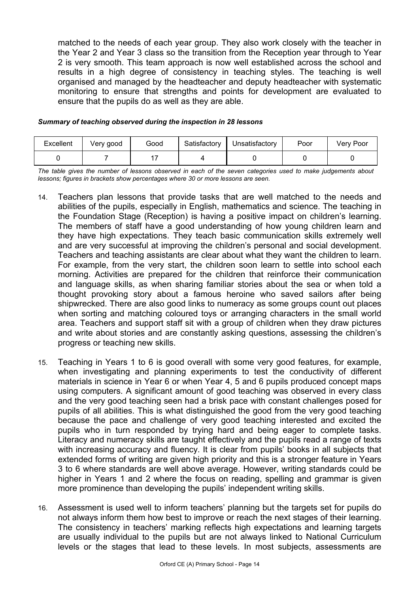matched to the needs of each year group. They also work closely with the teacher in the Year 2 and Year 3 class so the transition from the Reception year through to Year 2 is very smooth. This team approach is now well established across the school and results in a high degree of consistency in teaching styles. The teaching is well organised and managed by the headteacher and deputy headteacher with systematic monitoring to ensure that strengths and points for development are evaluated to ensure that the pupils do as well as they are able.

| Excellent | Very good | Good | Satisfactory | Unsatisfactory | Poor | Very Poor |
|-----------|-----------|------|--------------|----------------|------|-----------|
|           |           |      |              |                |      |           |

#### *Summary of teaching observed during the inspection in 28 lessons*

*The table gives the number of lessons observed in each of the seven categories used to make judgements about lessons; figures in brackets show percentages where 30 or more lessons are seen.* 

- 14. Teachers plan lessons that provide tasks that are well matched to the needs and abilities of the pupils, especially in English, mathematics and science. The teaching in the Foundation Stage (Reception) is having a positive impact on children's learning. The members of staff have a good understanding of how young children learn and they have high expectations. They teach basic communication skills extremely well and are very successful at improving the children's personal and social development. Teachers and teaching assistants are clear about what they want the children to learn. For example, from the very start, the children soon learn to settle into school each morning. Activities are prepared for the children that reinforce their communication and language skills, as when sharing familiar stories about the sea or when told a thought provoking story about a famous heroine who saved sailors after being shipwrecked. There are also good links to numeracy as some groups count out places when sorting and matching coloured toys or arranging characters in the small world area. Teachers and support staff sit with a group of children when they draw pictures and write about stories and are constantly asking questions, assessing the children's progress or teaching new skills.
- 15. Teaching in Years 1 to 6 is good overall with some very good features, for example, when investigating and planning experiments to test the conductivity of different materials in science in Year 6 or when Year 4, 5 and 6 pupils produced concept maps using computers. A significant amount of good teaching was observed in every class and the very good teaching seen had a brisk pace with constant challenges posed for pupils of all abilities. This is what distinguished the good from the very good teaching because the pace and challenge of very good teaching interested and excited the pupils who in turn responded by trying hard and being eager to complete tasks. Literacy and numeracy skills are taught effectively and the pupils read a range of texts with increasing accuracy and fluency. It is clear from pupils' books in all subjects that extended forms of writing are given high priority and this is a stronger feature in Years 3 to 6 where standards are well above average. However, writing standards could be higher in Years 1 and 2 where the focus on reading, spelling and grammar is given more prominence than developing the pupils' independent writing skills.
- 16. Assessment is used well to inform teachers' planning but the targets set for pupils do not always inform them how best to improve or reach the next stages of their learning. The consistency in teachers' marking reflects high expectations and learning targets are usually individual to the pupils but are not always linked to National Curriculum levels or the stages that lead to these levels. In most subjects, assessments are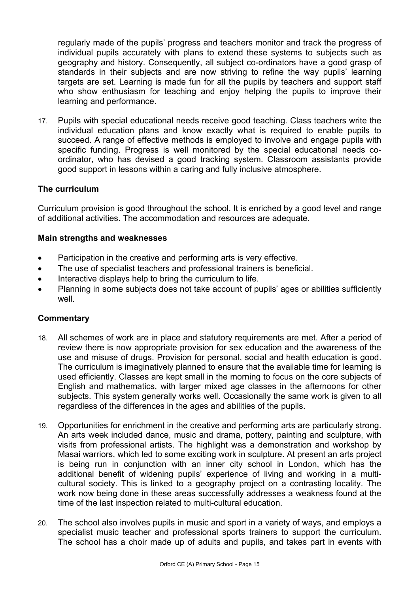regularly made of the pupils' progress and teachers monitor and track the progress of individual pupils accurately with plans to extend these systems to subjects such as geography and history. Consequently, all subject co-ordinators have a good grasp of standards in their subjects and are now striving to refine the way pupils' learning targets are set. Learning is made fun for all the pupils by teachers and support staff who show enthusiasm for teaching and enjoy helping the pupils to improve their learning and performance.

17. Pupils with special educational needs receive good teaching. Class teachers write the individual education plans and know exactly what is required to enable pupils to succeed. A range of effective methods is employed to involve and engage pupils with specific funding. Progress is well monitored by the special educational needs coordinator, who has devised a good tracking system. Classroom assistants provide good support in lessons within a caring and fully inclusive atmosphere.

### **The curriculum**

Curriculum provision is good throughout the school. It is enriched by a good level and range of additional activities. The accommodation and resources are adequate.

### **Main strengths and weaknesses**

- Participation in the creative and performing arts is very effective.
- The use of specialist teachers and professional trainers is beneficial.
- Interactive displays help to bring the curriculum to life.
- Planning in some subjects does not take account of pupils' ages or abilities sufficiently well

- 18. All schemes of work are in place and statutory requirements are met. After a period of review there is now appropriate provision for sex education and the awareness of the use and misuse of drugs. Provision for personal, social and health education is good. The curriculum is imaginatively planned to ensure that the available time for learning is used efficiently. Classes are kept small in the morning to focus on the core subjects of English and mathematics, with larger mixed age classes in the afternoons for other subjects. This system generally works well. Occasionally the same work is given to all regardless of the differences in the ages and abilities of the pupils.
- 19. Opportunities for enrichment in the creative and performing arts are particularly strong. An arts week included dance, music and drama, pottery, painting and sculpture, with visits from professional artists. The highlight was a demonstration and workshop by Masai warriors, which led to some exciting work in sculpture. At present an arts project is being run in conjunction with an inner city school in London, which has the additional benefit of widening pupils' experience of living and working in a multicultural society. This is linked to a geography project on a contrasting locality. The work now being done in these areas successfully addresses a weakness found at the time of the last inspection related to multi-cultural education.
- 20. The school also involves pupils in music and sport in a variety of ways, and employs a specialist music teacher and professional sports trainers to support the curriculum. The school has a choir made up of adults and pupils, and takes part in events with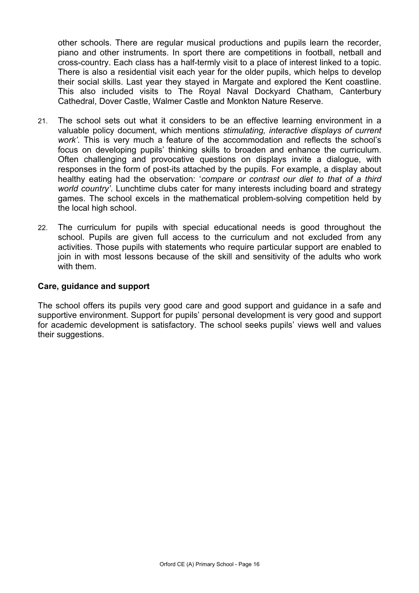other schools. There are regular musical productions and pupils learn the recorder, piano and other instruments. In sport there are competitions in football, netball and cross-country. Each class has a half-termly visit to a place of interest linked to a topic. There is also a residential visit each year for the older pupils, which helps to develop their social skills. Last year they stayed in Margate and explored the Kent coastline. This also included visits to The Royal Naval Dockyard Chatham, Canterbury Cathedral, Dover Castle, Walmer Castle and Monkton Nature Reserve.

- 21. The school sets out what it considers to be an effective learning environment in a valuable policy document, which mentions *stimulating, interactive displays of current work'*. This is very much a feature of the accommodation and reflects the school's focus on developing pupils' thinking skills to broaden and enhance the curriculum. Often challenging and provocative questions on displays invite a dialogue, with responses in the form of post-its attached by the pupils. For example, a display about healthy eating had the observation: '*compare or contrast our diet to that of a third world country'*. Lunchtime clubs cater for many interests including board and strategy games. The school excels in the mathematical problem-solving competition held by the local high school.
- 22. The curriculum for pupils with special educational needs is good throughout the school. Pupils are given full access to the curriculum and not excluded from any activities. Those pupils with statements who require particular support are enabled to join in with most lessons because of the skill and sensitivity of the adults who work with them.

#### **Care, guidance and support**

The school offers its pupils very good care and good support and guidance in a safe and supportive environment. Support for pupils' personal development is very good and support for academic development is satisfactory. The school seeks pupils' views well and values their suggestions.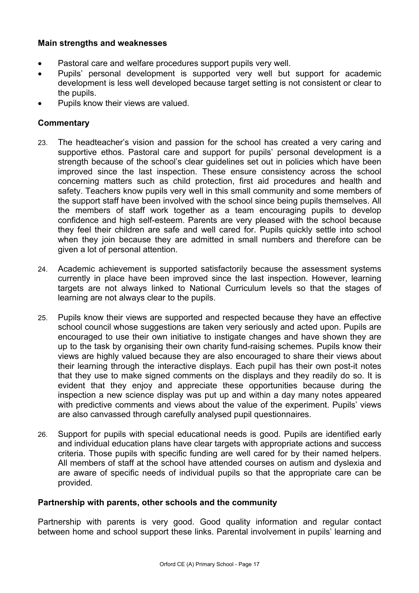### **Main strengths and weaknesses**

- Pastoral care and welfare procedures support pupils very well.
- Pupils' personal development is supported very well but support for academic development is less well developed because target setting is not consistent or clear to the pupils.
- Pupils know their views are valued.

### **Commentary**

- 23. The headteacher's vision and passion for the school has created a very caring and supportive ethos. Pastoral care and support for pupils' personal development is a strength because of the school's clear guidelines set out in policies which have been improved since the last inspection. These ensure consistency across the school concerning matters such as child protection, first aid procedures and health and safety. Teachers know pupils very well in this small community and some members of the support staff have been involved with the school since being pupils themselves. All the members of staff work together as a team encouraging pupils to develop confidence and high self-esteem. Parents are very pleased with the school because they feel their children are safe and well cared for. Pupils quickly settle into school when they join because they are admitted in small numbers and therefore can be given a lot of personal attention.
- 24. Academic achievement is supported satisfactorily because the assessment systems currently in place have been improved since the last inspection. However, learning targets are not always linked to National Curriculum levels so that the stages of learning are not always clear to the pupils.
- 25. Pupils know their views are supported and respected because they have an effective school council whose suggestions are taken very seriously and acted upon. Pupils are encouraged to use their own initiative to instigate changes and have shown they are up to the task by organising their own charity fund-raising schemes. Pupils know their views are highly valued because they are also encouraged to share their views about their learning through the interactive displays. Each pupil has their own post-it notes that they use to make signed comments on the displays and they readily do so. It is evident that they enjoy and appreciate these opportunities because during the inspection a new science display was put up and within a day many notes appeared with predictive comments and views about the value of the experiment. Pupils' views are also canvassed through carefully analysed pupil questionnaires.
- 26. Support for pupils with special educational needs is good. Pupils are identified early and individual education plans have clear targets with appropriate actions and success criteria. Those pupils with specific funding are well cared for by their named helpers. All members of staff at the school have attended courses on autism and dyslexia and are aware of specific needs of individual pupils so that the appropriate care can be provided.

### **Partnership with parents, other schools and the community**

Partnership with parents is very good. Good quality information and regular contact between home and school support these links. Parental involvement in pupils' learning and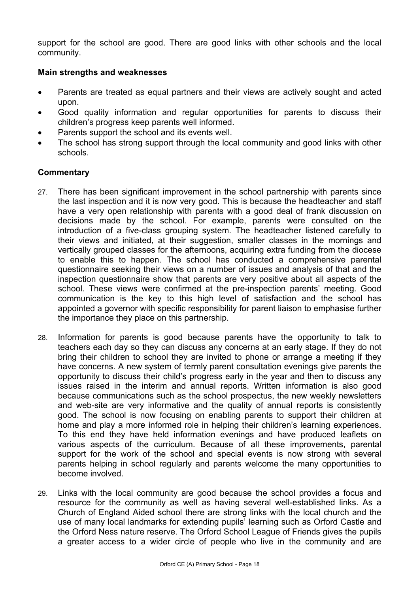support for the school are good. There are good links with other schools and the local community.

#### **Main strengths and weaknesses**

- Parents are treated as equal partners and their views are actively sought and acted upon.
- Good quality information and regular opportunities for parents to discuss their children's progress keep parents well informed.
- Parents support the school and its events well.
- The school has strong support through the local community and good links with other schools.

- 27. There has been significant improvement in the school partnership with parents since the last inspection and it is now very good. This is because the headteacher and staff have a very open relationship with parents with a good deal of frank discussion on decisions made by the school. For example, parents were consulted on the introduction of a five-class grouping system. The headteacher listened carefully to their views and initiated, at their suggestion, smaller classes in the mornings and vertically grouped classes for the afternoons, acquiring extra funding from the diocese to enable this to happen. The school has conducted a comprehensive parental questionnaire seeking their views on a number of issues and analysis of that and the inspection questionnaire show that parents are very positive about all aspects of the school. These views were confirmed at the pre-inspection parents' meeting. Good communication is the key to this high level of satisfaction and the school has appointed a governor with specific responsibility for parent liaison to emphasise further the importance they place on this partnership.
- 28. Information for parents is good because parents have the opportunity to talk to teachers each day so they can discuss any concerns at an early stage. If they do not bring their children to school they are invited to phone or arrange a meeting if they have concerns. A new system of termly parent consultation evenings give parents the opportunity to discuss their child's progress early in the year and then to discuss any issues raised in the interim and annual reports. Written information is also good because communications such as the school prospectus, the new weekly newsletters and web-site are very informative and the quality of annual reports is consistently good. The school is now focusing on enabling parents to support their children at home and play a more informed role in helping their children's learning experiences. To this end they have held information evenings and have produced leaflets on various aspects of the curriculum. Because of all these improvements, parental support for the work of the school and special events is now strong with several parents helping in school regularly and parents welcome the many opportunities to become involved.
- 29. Links with the local community are good because the school provides a focus and resource for the community as well as having several well-established links. As a Church of England Aided school there are strong links with the local church and the use of many local landmarks for extending pupils' learning such as Orford Castle and the Orford Ness nature reserve. The Orford School League of Friends gives the pupils a greater access to a wider circle of people who live in the community and are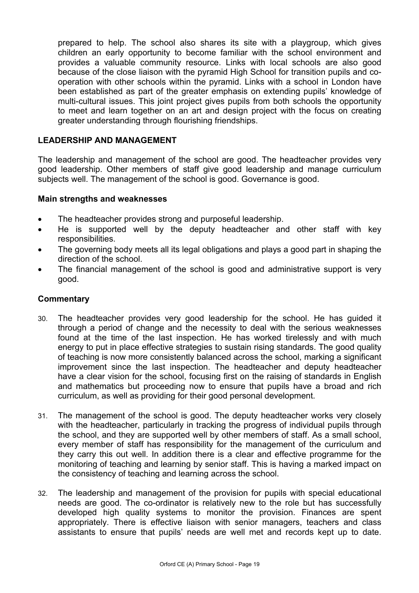prepared to help. The school also shares its site with a playgroup, which gives children an early opportunity to become familiar with the school environment and provides a valuable community resource. Links with local schools are also good because of the close liaison with the pyramid High School for transition pupils and cooperation with other schools within the pyramid. Links with a school in London have been established as part of the greater emphasis on extending pupils' knowledge of multi-cultural issues. This joint project gives pupils from both schools the opportunity to meet and learn together on an art and design project with the focus on creating greater understanding through flourishing friendships.

### **LEADERSHIP AND MANAGEMENT**

The leadership and management of the school are good. The headteacher provides very good leadership. Other members of staff give good leadership and manage curriculum subjects well. The management of the school is good. Governance is good.

#### **Main strengths and weaknesses**

- The headteacher provides strong and purposeful leadership.
- He is supported well by the deputy headteacher and other staff with key responsibilities.
- The governing body meets all its legal obligations and plays a good part in shaping the direction of the school.
- The financial management of the school is good and administrative support is very good.

- 30. The headteacher provides very good leadership for the school. He has guided it through a period of change and the necessity to deal with the serious weaknesses found at the time of the last inspection. He has worked tirelessly and with much energy to put in place effective strategies to sustain rising standards. The good quality of teaching is now more consistently balanced across the school, marking a significant improvement since the last inspection. The headteacher and deputy headteacher have a clear vision for the school, focusing first on the raising of standards in English and mathematics but proceeding now to ensure that pupils have a broad and rich curriculum, as well as providing for their good personal development.
- 31. The management of the school is good. The deputy headteacher works very closely with the headteacher, particularly in tracking the progress of individual pupils through the school, and they are supported well by other members of staff. As a small school, every member of staff has responsibility for the management of the curriculum and they carry this out well. In addition there is a clear and effective programme for the monitoring of teaching and learning by senior staff. This is having a marked impact on the consistency of teaching and learning across the school.
- 32. The leadership and management of the provision for pupils with special educational needs are good. The co-ordinator is relatively new to the role but has successfully developed high quality systems to monitor the provision. Finances are spent appropriately. There is effective liaison with senior managers, teachers and class assistants to ensure that pupils' needs are well met and records kept up to date.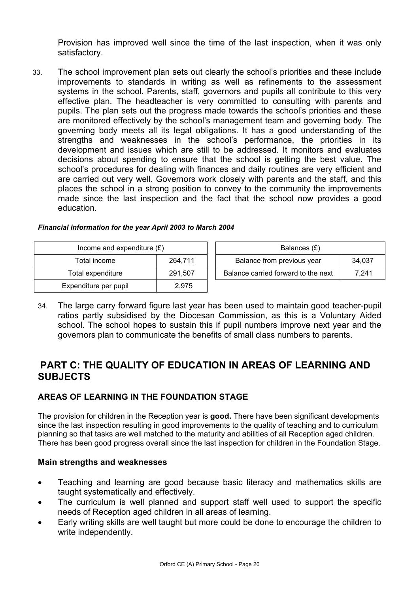Provision has improved well since the time of the last inspection, when it was only satisfactory.

33. The school improvement plan sets out clearly the school's priorities and these include improvements to standards in writing as well as refinements to the assessment systems in the school. Parents, staff, governors and pupils all contribute to this very effective plan. The headteacher is very committed to consulting with parents and pupils. The plan sets out the progress made towards the school's priorities and these are monitored effectively by the school's management team and governing body. The governing body meets all its legal obligations. It has a good understanding of the strengths and weaknesses in the school's performance, the priorities in its development and issues which are still to be addressed. It monitors and evaluates decisions about spending to ensure that the school is getting the best value. The school's procedures for dealing with finances and daily routines are very efficient and are carried out very well. Governors work closely with parents and the staff, and this places the school in a strong position to convey to the community the improvements made since the last inspection and the fact that the school now provides a good education.

| Income and expenditure $(E)$ | Balances $(E)$ |                                  |
|------------------------------|----------------|----------------------------------|
| Total income                 | 264,711        | Balance from previous year       |
| Total expenditure            | 291.507        | Balance carried forward to the r |
| Expenditure per pupil        | 2.975          |                                  |

| Financial information for the year April 2003 to March 2004 |  |
|-------------------------------------------------------------|--|
|-------------------------------------------------------------|--|

| Income and expenditure $(E)$ |         | Balances (£)                        |        |
|------------------------------|---------|-------------------------------------|--------|
| Total income                 | 264.711 | Balance from previous year          | 34.037 |
| Total expenditure            | 291.507 | Balance carried forward to the next | 7.241  |

34. The large carry forward figure last year has been used to maintain good teacher-pupil ratios partly subsidised by the Diocesan Commission, as this is a Voluntary Aided school. The school hopes to sustain this if pupil numbers improve next year and the governors plan to communicate the benefits of small class numbers to parents.

# **PART C: THE QUALITY OF EDUCATION IN AREAS OF LEARNING AND SUBJECTS**

## **AREAS OF LEARNING IN THE FOUNDATION STAGE**

The provision for children in the Reception year is **good.** There have been significant developments since the last inspection resulting in good improvements to the quality of teaching and to curriculum planning so that tasks are well matched to the maturity and abilities of all Reception aged children. There has been good progress overall since the last inspection for children in the Foundation Stage.

### **Main strengths and weaknesses**

- Teaching and learning are good because basic literacy and mathematics skills are taught systematically and effectively.
- The curriculum is well planned and support staff well used to support the specific needs of Reception aged children in all areas of learning.
- Early writing skills are well taught but more could be done to encourage the children to write independently.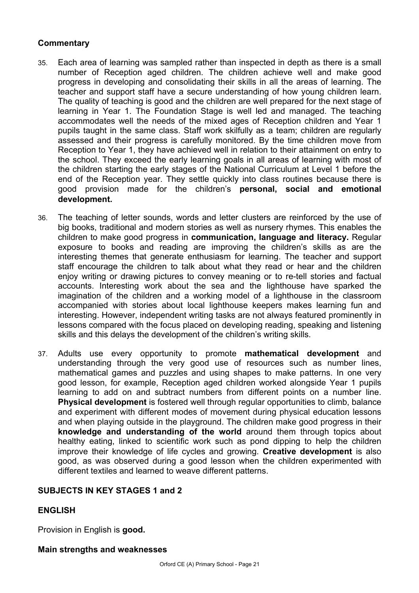### **Commentary**

- 35. Each area of learning was sampled rather than inspected in depth as there is a small number of Reception aged children. The children achieve well and make good progress in developing and consolidating their skills in all the areas of learning. The teacher and support staff have a secure understanding of how young children learn. The quality of teaching is good and the children are well prepared for the next stage of learning in Year 1. The Foundation Stage is well led and managed. The teaching accommodates well the needs of the mixed ages of Reception children and Year 1 pupils taught in the same class. Staff work skilfully as a team; children are regularly assessed and their progress is carefully monitored. By the time children move from Reception to Year 1, they have achieved well in relation to their attainment on entry to the school. They exceed the early learning goals in all areas of learning with most of the children starting the early stages of the National Curriculum at Level 1 before the end of the Reception year. They settle quickly into class routines because there is good provision made for the children's **personal, social and emotional development.**
- 36. The teaching of letter sounds, words and letter clusters are reinforced by the use of big books, traditional and modern stories as well as nursery rhymes. This enables the children to make good progress in **communication, language and literacy.** Regular exposure to books and reading are improving the children's skills as are the interesting themes that generate enthusiasm for learning. The teacher and support staff encourage the children to talk about what they read or hear and the children enjoy writing or drawing pictures to convey meaning or to re-tell stories and factual accounts. Interesting work about the sea and the lighthouse have sparked the imagination of the children and a working model of a lighthouse in the classroom accompanied with stories about local lighthouse keepers makes learning fun and interesting. However, independent writing tasks are not always featured prominently in lessons compared with the focus placed on developing reading, speaking and listening skills and this delays the development of the children's writing skills.
- 37. Adults use every opportunity to promote **mathematical development** and understanding through the very good use of resources such as number lines, mathematical games and puzzles and using shapes to make patterns. In one very good lesson, for example, Reception aged children worked alongside Year 1 pupils learning to add on and subtract numbers from different points on a number line. **Physical development** is fostered well through regular opportunities to climb, balance and experiment with different modes of movement during physical education lessons and when playing outside in the playground. The children make good progress in their **knowledge and understanding of the world** around them through topics about healthy eating, linked to scientific work such as pond dipping to help the children improve their knowledge of life cycles and growing. **Creative development** is also good, as was observed during a good lesson when the children experimented with different textiles and learned to weave different patterns.

## **SUBJECTS IN KEY STAGES 1 and 2**

### **ENGLISH**

Provision in English is **good.**

#### **Main strengths and weaknesses**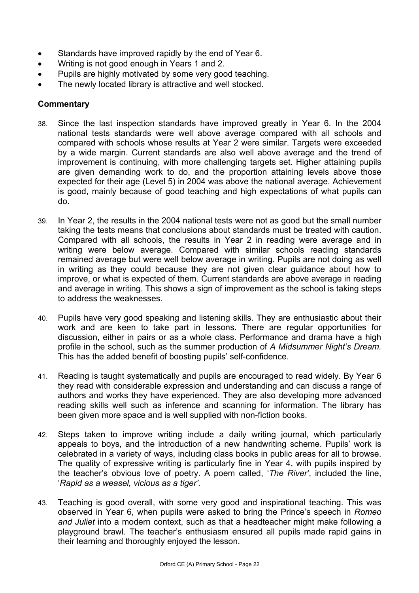- Standards have improved rapidly by the end of Year 6.
- Writing is not good enough in Years 1 and 2.
- Pupils are highly motivated by some very good teaching.
- The newly located library is attractive and well stocked.

- 38. Since the last inspection standards have improved greatly in Year 6. In the 2004 national tests standards were well above average compared with all schools and compared with schools whose results at Year 2 were similar. Targets were exceeded by a wide margin. Current standards are also well above average and the trend of improvement is continuing, with more challenging targets set. Higher attaining pupils are given demanding work to do, and the proportion attaining levels above those expected for their age (Level 5) in 2004 was above the national average. Achievement is good, mainly because of good teaching and high expectations of what pupils can do.
- 39. In Year 2, the results in the 2004 national tests were not as good but the small number taking the tests means that conclusions about standards must be treated with caution. Compared with all schools, the results in Year 2 in reading were average and in writing were below average. Compared with similar schools reading standards remained average but were well below average in writing. Pupils are not doing as well in writing as they could because they are not given clear guidance about how to improve, or what is expected of them. Current standards are above average in reading and average in writing. This shows a sign of improvement as the school is taking steps to address the weaknesses.
- 40. Pupils have very good speaking and listening skills. They are enthusiastic about their work and are keen to take part in lessons. There are regular opportunities for discussion, either in pairs or as a whole class. Performance and drama have a high profile in the school, such as the summer production of *A Midsummer Night's Dream.*  This has the added benefit of boosting pupils' self-confidence.
- 41. Reading is taught systematically and pupils are encouraged to read widely. By Year 6 they read with considerable expression and understanding and can discuss a range of authors and works they have experienced. They are also developing more advanced reading skills well such as inference and scanning for information. The library has been given more space and is well supplied with non-fiction books.
- 42. Steps taken to improve writing include a daily writing journal, which particularly appeals to boys, and the introduction of a new handwriting scheme. Pupils' work is celebrated in a variety of ways, including class books in public areas for all to browse. The quality of expressive writing is particularly fine in Year 4, with pupils inspired by the teacher's obvious love of poetry. A poem called, '*The River'*, included the line, '*Rapid as a weasel, vicious as a tiger'.*
- 43. Teaching is good overall, with some very good and inspirational teaching. This was observed in Year 6, when pupils were asked to bring the Prince's speech in *Romeo and Juliet* into a modern context, such as that a headteacher might make following a playground brawl. The teacher's enthusiasm ensured all pupils made rapid gains in their learning and thoroughly enjoyed the lesson.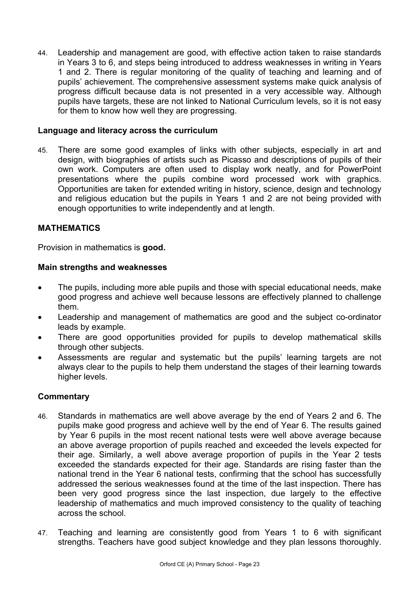44. Leadership and management are good, with effective action taken to raise standards in Years 3 to 6, and steps being introduced to address weaknesses in writing in Years 1 and 2. There is regular monitoring of the quality of teaching and learning and of pupils' achievement. The comprehensive assessment systems make quick analysis of progress difficult because data is not presented in a very accessible way. Although pupils have targets, these are not linked to National Curriculum levels, so it is not easy for them to know how well they are progressing.

### **Language and literacy across the curriculum**

45. There are some good examples of links with other subjects, especially in art and design, with biographies of artists such as Picasso and descriptions of pupils of their own work. Computers are often used to display work neatly, and for PowerPoint presentations where the pupils combine word processed work with graphics. Opportunities are taken for extended writing in history, science, design and technology and religious education but the pupils in Years 1 and 2 are not being provided with enough opportunities to write independently and at length.

### **MATHEMATICS**

Provision in mathematics is **good.**

#### **Main strengths and weaknesses**

- The pupils, including more able pupils and those with special educational needs, make good progress and achieve well because lessons are effectively planned to challenge them.
- Leadership and management of mathematics are good and the subject co-ordinator leads by example.
- There are good opportunities provided for pupils to develop mathematical skills through other subjects.
- Assessments are regular and systematic but the pupils' learning targets are not always clear to the pupils to help them understand the stages of their learning towards higher levels.

- 46. Standards in mathematics are well above average by the end of Years 2 and 6. The pupils make good progress and achieve well by the end of Year 6. The results gained by Year 6 pupils in the most recent national tests were well above average because an above average proportion of pupils reached and exceeded the levels expected for their age. Similarly, a well above average proportion of pupils in the Year 2 tests exceeded the standards expected for their age. Standards are rising faster than the national trend in the Year 6 national tests, confirming that the school has successfully addressed the serious weaknesses found at the time of the last inspection. There has been very good progress since the last inspection, due largely to the effective leadership of mathematics and much improved consistency to the quality of teaching across the school.
- 47. Teaching and learning are consistently good from Years 1 to 6 with significant strengths. Teachers have good subject knowledge and they plan lessons thoroughly.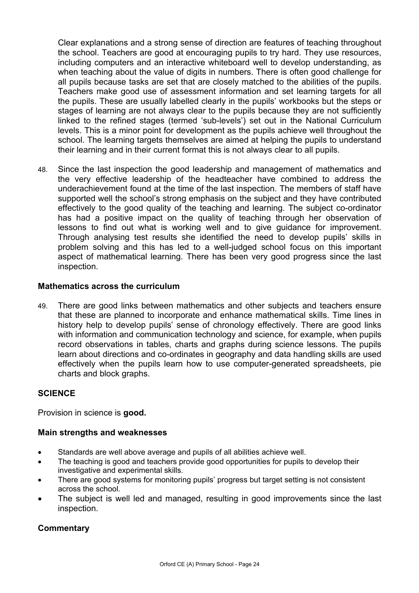Clear explanations and a strong sense of direction are features of teaching throughout the school. Teachers are good at encouraging pupils to try hard. They use resources, including computers and an interactive whiteboard well to develop understanding, as when teaching about the value of digits in numbers. There is often good challenge for all pupils because tasks are set that are closely matched to the abilities of the pupils. Teachers make good use of assessment information and set learning targets for all the pupils. These are usually labelled clearly in the pupils' workbooks but the steps or stages of learning are not always clear to the pupils because they are not sufficiently linked to the refined stages (termed 'sub-levels') set out in the National Curriculum levels. This is a minor point for development as the pupils achieve well throughout the school. The learning targets themselves are aimed at helping the pupils to understand their learning and in their current format this is not always clear to all pupils.

48. Since the last inspection the good leadership and management of mathematics and the very effective leadership of the headteacher have combined to address the underachievement found at the time of the last inspection. The members of staff have supported well the school's strong emphasis on the subject and they have contributed effectively to the good quality of the teaching and learning. The subject co-ordinator has had a positive impact on the quality of teaching through her observation of lessons to find out what is working well and to give guidance for improvement. Through analysing test results she identified the need to develop pupils' skills in problem solving and this has led to a well-judged school focus on this important aspect of mathematical learning. There has been very good progress since the last inspection.

### **Mathematics across the curriculum**

49. There are good links between mathematics and other subjects and teachers ensure that these are planned to incorporate and enhance mathematical skills. Time lines in history help to develop pupils' sense of chronology effectively. There are good links with information and communication technology and science, for example, when pupils record observations in tables, charts and graphs during science lessons. The pupils learn about directions and co-ordinates in geography and data handling skills are used effectively when the pupils learn how to use computer-generated spreadsheets, pie charts and block graphs.

### **SCIENCE**

Provision in science is **good.**

#### **Main strengths and weaknesses**

- Standards are well above average and pupils of all abilities achieve well.
- The teaching is good and teachers provide good opportunities for pupils to develop their investigative and experimental skills.
- There are good systems for monitoring pupils' progress but target setting is not consistent across the school.
- The subject is well led and managed, resulting in good improvements since the last inspection.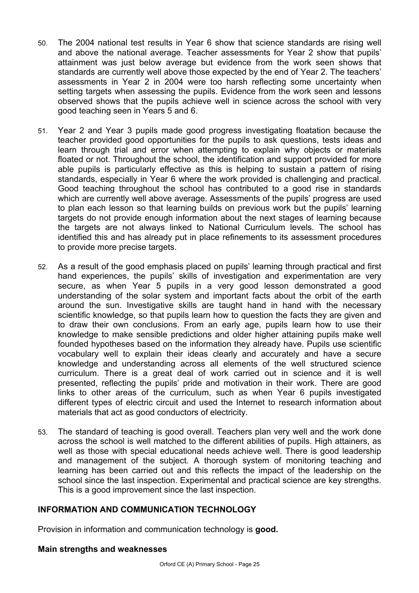- 50. The 2004 national test results in Year 6 show that science standards are rising well and above the national average. Teacher assessments for Year 2 show that pupils' attainment was just below average but evidence from the work seen shows that standards are currently well above those expected by the end of Year 2. The teachers' assessments in Year 2 in 2004 were too harsh reflecting some uncertainty when setting targets when assessing the pupils. Evidence from the work seen and lessons observed shows that the pupils achieve well in science across the school with very good teaching seen in Years 5 and 6.
- 51. Year 2 and Year 3 pupils made good progress investigating floatation because the teacher provided good opportunities for the pupils to ask questions, tests ideas and learn through trial and error when attempting to explain why objects or materials floated or not. Throughout the school, the identification and support provided for more able pupils is particularly effective as this is helping to sustain a pattern of rising standards, especially in Year 6 where the work provided is challenging and practical. Good teaching throughout the school has contributed to a good rise in standards which are currently well above average. Assessments of the pupils' progress are used to plan each lesson so that learning builds on previous work but the pupils' learning targets do not provide enough information about the next stages of learning because the targets are not always linked to National Curriculum levels. The school has identified this and has already put in place refinements to its assessment procedures to provide more precise targets.
- 52. As a result of the good emphasis placed on pupils' learning through practical and first hand experiences, the pupils' skills of investigation and experimentation are very secure, as when Year 5 pupils in a very good lesson demonstrated a good understanding of the solar system and important facts about the orbit of the earth around the sun. Investigative skills are taught hand in hand with the necessary scientific knowledge, so that pupils learn how to question the facts they are given and to draw their own conclusions. From an early age, pupils learn how to use their knowledge to make sensible predictions and older higher attaining pupils make well founded hypotheses based on the information they already have. Pupils use scientific vocabulary well to explain their ideas clearly and accurately and have a secure knowledge and understanding across all elements of the well structured science curriculum. There is a great deal of work carried out in science and it is well presented, reflecting the pupils' pride and motivation in their work. There are good links to other areas of the curriculum, such as when Year 6 pupils investigated different types of electric circuit and used the Internet to research information about materials that act as good conductors of electricity.
- 53. The standard of teaching is good overall. Teachers plan very well and the work done across the school is well matched to the different abilities of pupils. High attainers, as well as those with special educational needs achieve well. There is good leadership and management of the subject. A thorough system of monitoring teaching and learning has been carried out and this reflects the impact of the leadership on the school since the last inspection. Experimental and practical science are key strengths. This is a good improvement since the last inspection.

### **INFORMATION AND COMMUNICATION TECHNOLOGY**

Provision in information and communication technology is **good.**

#### **Main strengths and weaknesses**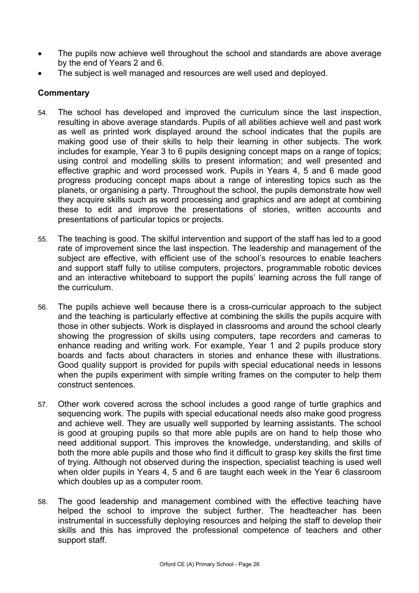- The pupils now achieve well throughout the school and standards are above average by the end of Years 2 and 6.
- The subject is well managed and resources are well used and deployed.

- 54. The school has developed and improved the curriculum since the last inspection, resulting in above average standards. Pupils of all abilities achieve well and past work as well as printed work displayed around the school indicates that the pupils are making good use of their skills to help their learning in other subjects. The work includes for example, Year 3 to 6 pupils designing concept maps on a range of topics; using control and modelling skills to present information; and well presented and effective graphic and word processed work. Pupils in Years 4, 5 and 6 made good progress producing concept maps about a range of interesting topics such as the planets, or organising a party. Throughout the school, the pupils demonstrate how well they acquire skills such as word processing and graphics and are adept at combining these to edit and improve the presentations of stories, written accounts and presentations of particular topics or projects.
- 55. The teaching is good. The skilful intervention and support of the staff has led to a good rate of improvement since the last inspection. The leadership and management of the subject are effective, with efficient use of the school's resources to enable teachers and support staff fully to utilise computers, projectors, programmable robotic devices and an interactive whiteboard to support the pupils' learning across the full range of the curriculum.
- 56. The pupils achieve well because there is a cross-curricular approach to the subject and the teaching is particularly effective at combining the skills the pupils acquire with those in other subjects. Work is displayed in classrooms and around the school clearly showing the progression of skills using computers, tape recorders and cameras to enhance reading and writing work. For example, Year 1 and 2 pupils produce story boards and facts about characters in stories and enhance these with illustrations. Good quality support is provided for pupils with special educational needs in lessons when the pupils experiment with simple writing frames on the computer to help them construct sentences.
- 57. Other work covered across the school includes a good range of turtle graphics and sequencing work. The pupils with special educational needs also make good progress and achieve well. They are usually well supported by learning assistants. The school is good at grouping pupils so that more able pupils are on hand to help those who need additional support. This improves the knowledge, understanding, and skills of both the more able pupils and those who find it difficult to grasp key skills the first time of trying. Although not observed during the inspection, specialist teaching is used well when older pupils in Years 4, 5 and 6 are taught each week in the Year 6 classroom which doubles up as a computer room.
- 58. The good leadership and management combined with the effective teaching have helped the school to improve the subject further. The headteacher has been instrumental in successfully deploying resources and helping the staff to develop their skills and this has improved the professional competence of teachers and other support staff.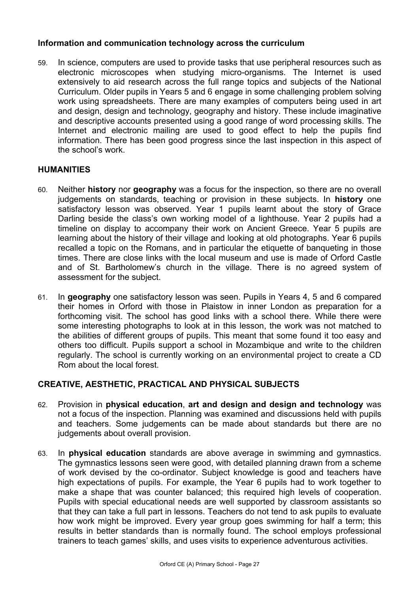### **Information and communication technology across the curriculum**

59. In science, computers are used to provide tasks that use peripheral resources such as electronic microscopes when studying micro-organisms. The Internet is used extensively to aid research across the full range topics and subjects of the National Curriculum. Older pupils in Years 5 and 6 engage in some challenging problem solving work using spreadsheets. There are many examples of computers being used in art and design, design and technology, geography and history. These include imaginative and descriptive accounts presented using a good range of word processing skills. The Internet and electronic mailing are used to good effect to help the pupils find information. There has been good progress since the last inspection in this aspect of the school's work.

### **HUMANITIES**

- 60. Neither **history** nor **geography** was a focus for the inspection, so there are no overall judgements on standards, teaching or provision in these subjects. In **history** one satisfactory lesson was observed. Year 1 pupils learnt about the story of Grace Darling beside the class's own working model of a lighthouse. Year 2 pupils had a timeline on display to accompany their work on Ancient Greece. Year 5 pupils are learning about the history of their village and looking at old photographs. Year 6 pupils recalled a topic on the Romans, and in particular the etiquette of banqueting in those times. There are close links with the local museum and use is made of Orford Castle and of St. Bartholomew's church in the village. There is no agreed system of assessment for the subject.
- 61. In **geography** one satisfactory lesson was seen. Pupils in Years 4, 5 and 6 compared their homes in Orford with those in Plaistow in inner London as preparation for a forthcoming visit. The school has good links with a school there. While there were some interesting photographs to look at in this lesson, the work was not matched to the abilities of different groups of pupils. This meant that some found it too easy and others too difficult. Pupils support a school in Mozambique and write to the children regularly. The school is currently working on an environmental project to create a CD Rom about the local forest.

## **CREATIVE, AESTHETIC, PRACTICAL AND PHYSICAL SUBJECTS**

- 62. Provision in **physical education**, **art and design and design and technology** was not a focus of the inspection. Planning was examined and discussions held with pupils and teachers. Some judgements can be made about standards but there are no judgements about overall provision.
- 63. In **physical education** standards are above average in swimming and gymnastics. The gymnastics lessons seen were good, with detailed planning drawn from a scheme of work devised by the co-ordinator. Subject knowledge is good and teachers have high expectations of pupils. For example, the Year 6 pupils had to work together to make a shape that was counter balanced; this required high levels of cooperation. Pupils with special educational needs are well supported by classroom assistants so that they can take a full part in lessons. Teachers do not tend to ask pupils to evaluate how work might be improved. Every year group goes swimming for half a term; this results in better standards than is normally found. The school employs professional trainers to teach games' skills, and uses visits to experience adventurous activities.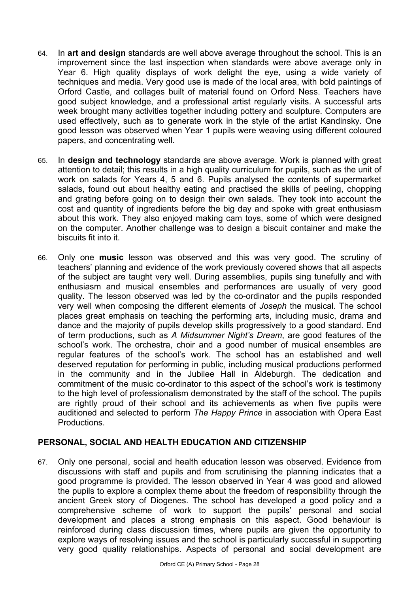- 64. In **art and design** standards are well above average throughout the school. This is an improvement since the last inspection when standards were above average only in Year 6. High quality displays of work delight the eye, using a wide variety of techniques and media. Very good use is made of the local area, with bold paintings of Orford Castle, and collages built of material found on Orford Ness. Teachers have good subject knowledge, and a professional artist regularly visits. A successful arts week brought many activities together including pottery and sculpture. Computers are used effectively, such as to generate work in the style of the artist Kandinsky. One good lesson was observed when Year 1 pupils were weaving using different coloured papers, and concentrating well.
- 65. In **design and technology** standards are above average. Work is planned with great attention to detail; this results in a high quality curriculum for pupils, such as the unit of work on salads for Years 4, 5 and 6. Pupils analysed the contents of supermarket salads, found out about healthy eating and practised the skills of peeling, chopping and grating before going on to design their own salads. They took into account the cost and quantity of ingredients before the big day and spoke with great enthusiasm about this work. They also enjoyed making cam toys, some of which were designed on the computer. Another challenge was to design a biscuit container and make the biscuits fit into it.
- 66. Only one **music** lesson was observed and this was very good. The scrutiny of teachers' planning and evidence of the work previously covered shows that all aspects of the subject are taught very well. During assemblies, pupils sing tunefully and with enthusiasm and musical ensembles and performances are usually of very good quality. The lesson observed was led by the co-ordinator and the pupils responded very well when composing the different elements of *Joseph* the musical. The school places great emphasis on teaching the performing arts, including music, drama and dance and the majority of pupils develop skills progressively to a good standard. End of term productions, such as *A Midsummer Night's Dream*, are good features of the school's work. The orchestra, choir and a good number of musical ensembles are regular features of the school's work. The school has an established and well deserved reputation for performing in public, including musical productions performed in the community and in the Jubilee Hall in Aldeburgh. The dedication and commitment of the music co-ordinator to this aspect of the school's work is testimony to the high level of professionalism demonstrated by the staff of the school. The pupils are rightly proud of their school and its achievements as when five pupils were auditioned and selected to perform *The Happy Prince* in association with Opera East Productions.

### **PERSONAL, SOCIAL AND HEALTH EDUCATION AND CITIZENSHIP**

67. Only one personal, social and health education lesson was observed. Evidence from discussions with staff and pupils and from scrutinising the planning indicates that a good programme is provided. The lesson observed in Year 4 was good and allowed the pupils to explore a complex theme about the freedom of responsibility through the ancient Greek story of Diogenes. The school has developed a good policy and a comprehensive scheme of work to support the pupils' personal and social development and places a strong emphasis on this aspect. Good behaviour is reinforced during class discussion times, where pupils are given the opportunity to explore ways of resolving issues and the school is particularly successful in supporting very good quality relationships. Aspects of personal and social development are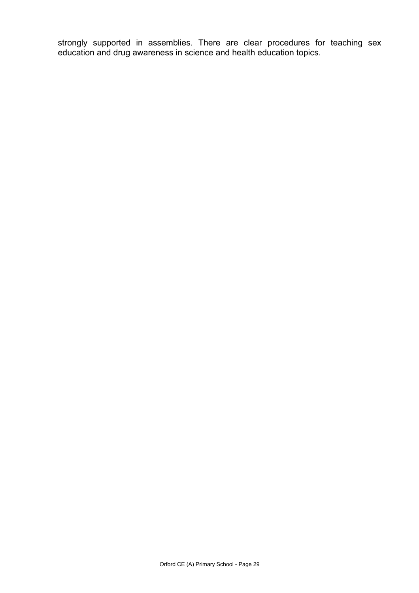strongly supported in assemblies. There are clear procedures for teaching sex education and drug awareness in science and health education topics.